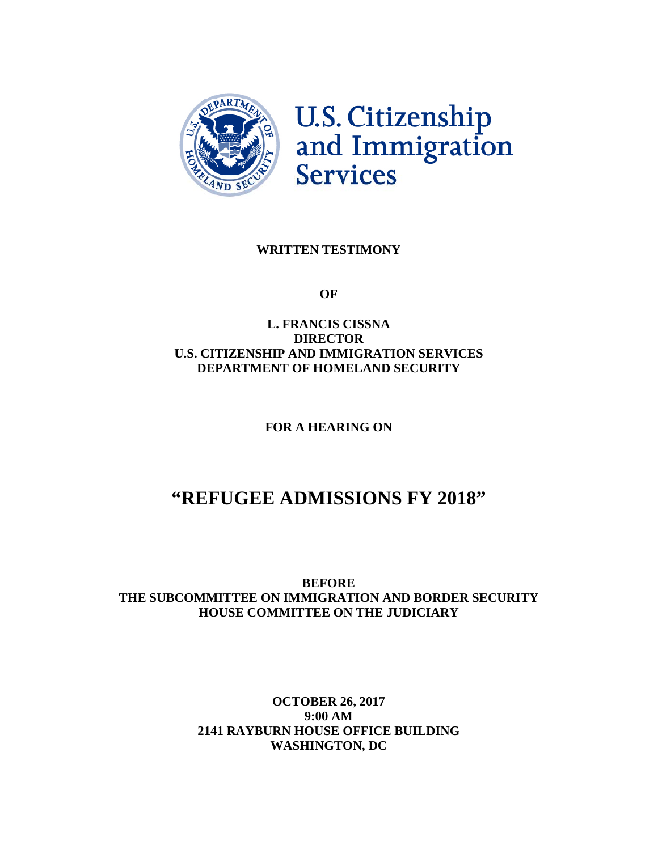

#### **WRITTEN TESTIMONY**

**OF**

#### **L. FRANCIS CISSNA DIRECTOR U.S. CITIZENSHIP AND IMMIGRATION SERVICES DEPARTMENT OF HOMELAND SECURITY**

**FOR A HEARING ON**

# **"REFUGEE ADMISSIONS FY 2018"**

**BEFORE THE SUBCOMMITTEE ON IMMIGRATION AND BORDER SECURITY HOUSE COMMITTEE ON THE JUDICIARY**

### **OCTOBER 26, 2017 9:00 AM 2141 RAYBURN HOUSE OFFICE BUILDING WASHINGTON, DC**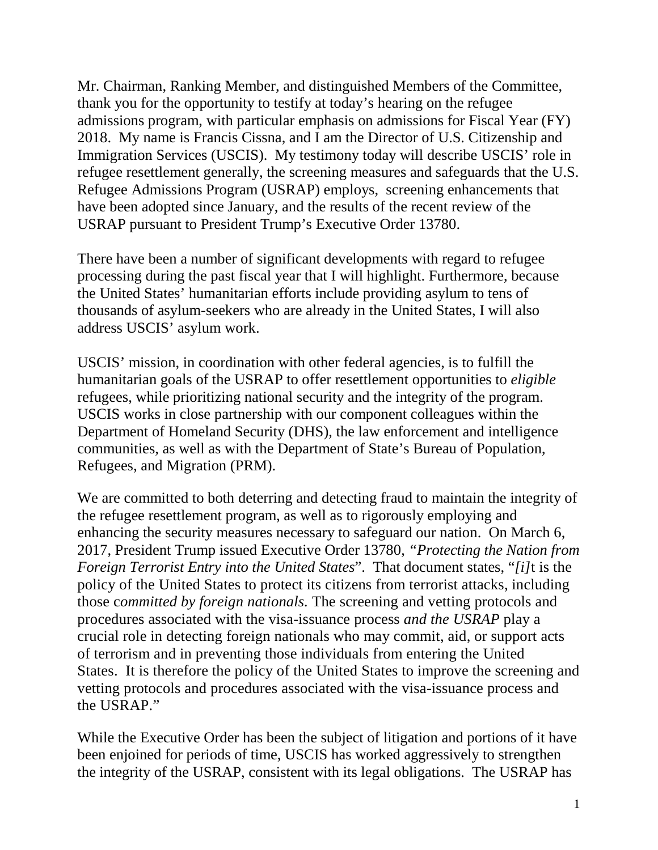Mr. Chairman, Ranking Member, and distinguished Members of the Committee, thank you for the opportunity to testify at today's hearing on the refugee admissions program, with particular emphasis on admissions for Fiscal Year (FY) 2018. My name is Francis Cissna, and I am the Director of U.S. Citizenship and Immigration Services (USCIS). My testimony today will describe USCIS' role in refugee resettlement generally, the screening measures and safeguards that the U.S. Refugee Admissions Program (USRAP) employs, screening enhancements that have been adopted since January, and the results of the recent review of the USRAP pursuant to President Trump's Executive Order 13780.

There have been a number of significant developments with regard to refugee processing during the past fiscal year that I will highlight. Furthermore, because the United States' humanitarian efforts include providing asylum to tens of thousands of asylum-seekers who are already in the United States, I will also address USCIS' asylum work.

USCIS' mission, in coordination with other federal agencies, is to fulfill the humanitarian goals of the USRAP to offer resettlement opportunities to *eligible* refugees, while prioritizing national security and the integrity of the program. USCIS works in close partnership with our component colleagues within the Department of Homeland Security (DHS), the law enforcement and intelligence communities, as well as with the Department of State's Bureau of Population, Refugees, and Migration (PRM).

We are committed to both deterring and detecting fraud to maintain the integrity of the refugee resettlement program, as well as to rigorously employing and enhancing the security measures necessary to safeguard our nation. On March 6, 2017, President Trump issued Executive Order 13780, *"Protecting the Nation from Foreign Terrorist Entry into the United States*". That document states, "*[i]*t is the policy of the United States to protect its citizens from terrorist attacks, including those c*ommitted by foreign nationals.* The screening and vetting protocols and procedures associated with the visa-issuance process *and the USRAP* play a crucial role in detecting foreign nationals who may commit, aid, or support acts of terrorism and in preventing those individuals from entering the United States. It is therefore the policy of the United States to improve the screening and vetting protocols and procedures associated with the visa-issuance process and the USRAP."

While the Executive Order has been the subject of litigation and portions of it have been enjoined for periods of time, USCIS has worked aggressively to strengthen the integrity of the USRAP, consistent with its legal obligations. The USRAP has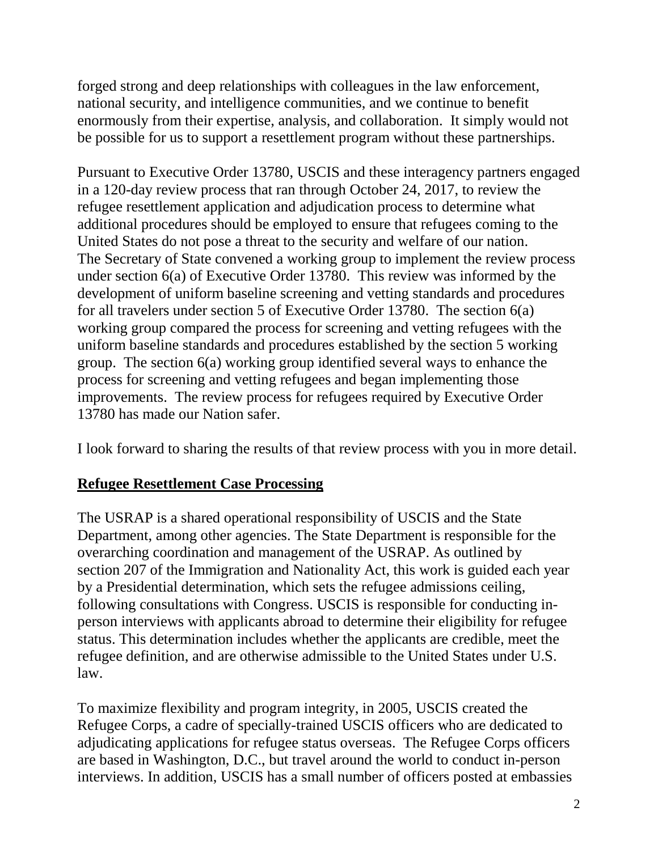forged strong and deep relationships with colleagues in the law enforcement, national security, and intelligence communities, and we continue to benefit enormously from their expertise, analysis, and collaboration. It simply would not be possible for us to support a resettlement program without these partnerships.

Pursuant to Executive Order 13780, USCIS and these interagency partners engaged in a 120-day review process that ran through October 24, 2017, to review the refugee resettlement application and adjudication process to determine what additional procedures should be employed to ensure that refugees coming to the United States do not pose a threat to the security and welfare of our nation. The Secretary of State convened a working group to implement the review process under section 6(a) of Executive Order 13780. This review was informed by the development of uniform baseline screening and vetting standards and procedures for all travelers under section 5 of Executive Order 13780. The section 6(a) working group compared the process for screening and vetting refugees with the uniform baseline standards and procedures established by the section 5 working group. The section 6(a) working group identified several ways to enhance the process for screening and vetting refugees and began implementing those improvements. The review process for refugees required by Executive Order 13780 has made our Nation safer.

I look forward to sharing the results of that review process with you in more detail.

# **Refugee Resettlement Case Processing**

The USRAP is a shared operational responsibility of USCIS and the State Department, among other agencies. The State Department is responsible for the overarching coordination and management of the USRAP. As outlined by section 207 of the Immigration and Nationality Act, this work is guided each year by a Presidential determination, which sets the refugee admissions ceiling, following consultations with Congress. USCIS is responsible for conducting inperson interviews with applicants abroad to determine their eligibility for refugee status. This determination includes whether the applicants are credible, meet the refugee definition, and are otherwise admissible to the United States under U.S. law.

To maximize flexibility and program integrity, in 2005, USCIS created the Refugee Corps, a cadre of specially-trained USCIS officers who are dedicated to adjudicating applications for refugee status overseas. The Refugee Corps officers are based in Washington, D.C., but travel around the world to conduct in-person interviews. In addition, USCIS has a small number of officers posted at embassies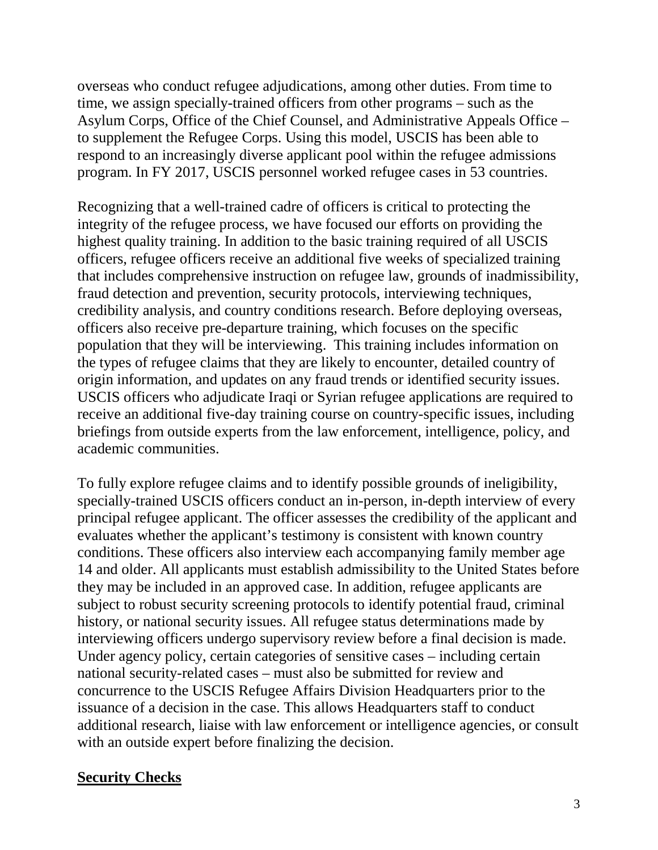overseas who conduct refugee adjudications, among other duties. From time to time, we assign specially-trained officers from other programs – such as the Asylum Corps, Office of the Chief Counsel, and Administrative Appeals Office – to supplement the Refugee Corps. Using this model, USCIS has been able to respond to an increasingly diverse applicant pool within the refugee admissions program. In FY 2017, USCIS personnel worked refugee cases in 53 countries.

Recognizing that a well-trained cadre of officers is critical to protecting the integrity of the refugee process, we have focused our efforts on providing the highest quality training. In addition to the basic training required of all USCIS officers, refugee officers receive an additional five weeks of specialized training that includes comprehensive instruction on refugee law, grounds of inadmissibility, fraud detection and prevention, security protocols, interviewing techniques, credibility analysis, and country conditions research. Before deploying overseas, officers also receive pre-departure training, which focuses on the specific population that they will be interviewing. This training includes information on the types of refugee claims that they are likely to encounter, detailed country of origin information, and updates on any fraud trends or identified security issues. USCIS officers who adjudicate Iraqi or Syrian refugee applications are required to receive an additional five-day training course on country-specific issues, including briefings from outside experts from the law enforcement, intelligence, policy, and academic communities.

To fully explore refugee claims and to identify possible grounds of ineligibility, specially-trained USCIS officers conduct an in-person, in-depth interview of every principal refugee applicant. The officer assesses the credibility of the applicant and evaluates whether the applicant's testimony is consistent with known country conditions. These officers also interview each accompanying family member age 14 and older. All applicants must establish admissibility to the United States before they may be included in an approved case. In addition, refugee applicants are subject to robust security screening protocols to identify potential fraud, criminal history, or national security issues. All refugee status determinations made by interviewing officers undergo supervisory review before a final decision is made. Under agency policy, certain categories of sensitive cases – including certain national security-related cases – must also be submitted for review and concurrence to the USCIS Refugee Affairs Division Headquarters prior to the issuance of a decision in the case. This allows Headquarters staff to conduct additional research, liaise with law enforcement or intelligence agencies, or consult with an outside expert before finalizing the decision.

## **Security Checks**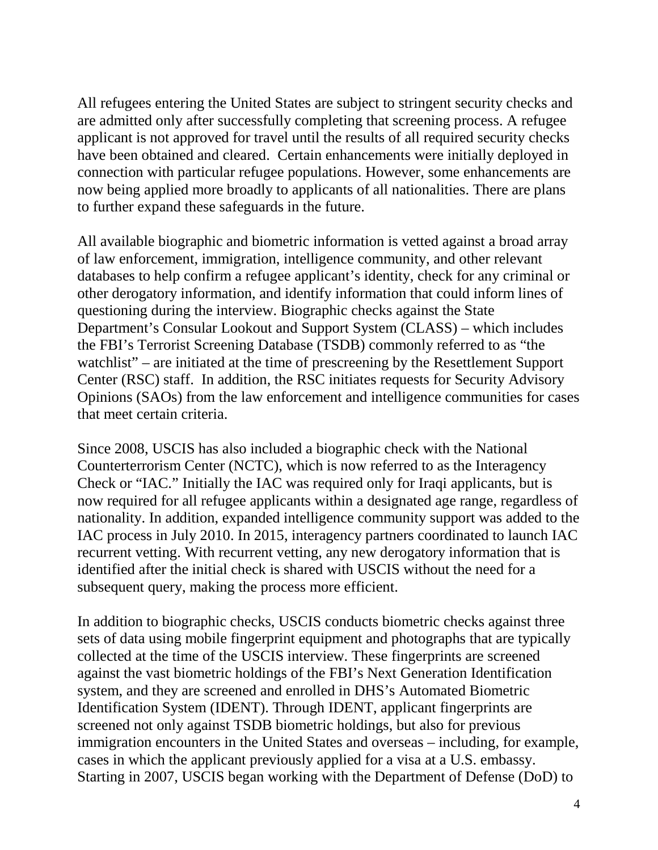All refugees entering the United States are subject to stringent security checks and are admitted only after successfully completing that screening process. A refugee applicant is not approved for travel until the results of all required security checks have been obtained and cleared. Certain enhancements were initially deployed in connection with particular refugee populations. However, some enhancements are now being applied more broadly to applicants of all nationalities. There are plans to further expand these safeguards in the future.

All available biographic and biometric information is vetted against a broad array of law enforcement, immigration, intelligence community, and other relevant databases to help confirm a refugee applicant's identity, check for any criminal or other derogatory information, and identify information that could inform lines of questioning during the interview. Biographic checks against the State Department's Consular Lookout and Support System (CLASS) – which includes the FBI's Terrorist Screening Database (TSDB) commonly referred to as "the watchlist" – are initiated at the time of prescreening by the Resettlement Support Center (RSC) staff. In addition, the RSC initiates requests for Security Advisory Opinions (SAOs) from the law enforcement and intelligence communities for cases that meet certain criteria.

Since 2008, USCIS has also included a biographic check with the National Counterterrorism Center (NCTC), which is now referred to as the Interagency Check or "IAC." Initially the IAC was required only for Iraqi applicants, but is now required for all refugee applicants within a designated age range, regardless of nationality. In addition, expanded intelligence community support was added to the IAC process in July 2010. In 2015, interagency partners coordinated to launch IAC recurrent vetting. With recurrent vetting, any new derogatory information that is identified after the initial check is shared with USCIS without the need for a subsequent query, making the process more efficient.

In addition to biographic checks, USCIS conducts biometric checks against three sets of data using mobile fingerprint equipment and photographs that are typically collected at the time of the USCIS interview. These fingerprints are screened against the vast biometric holdings of the FBI's Next Generation Identification system, and they are screened and enrolled in DHS's Automated Biometric Identification System (IDENT). Through IDENT, applicant fingerprints are screened not only against TSDB biometric holdings, but also for previous immigration encounters in the United States and overseas – including, for example, cases in which the applicant previously applied for a visa at a U.S. embassy. Starting in 2007, USCIS began working with the Department of Defense (DoD) to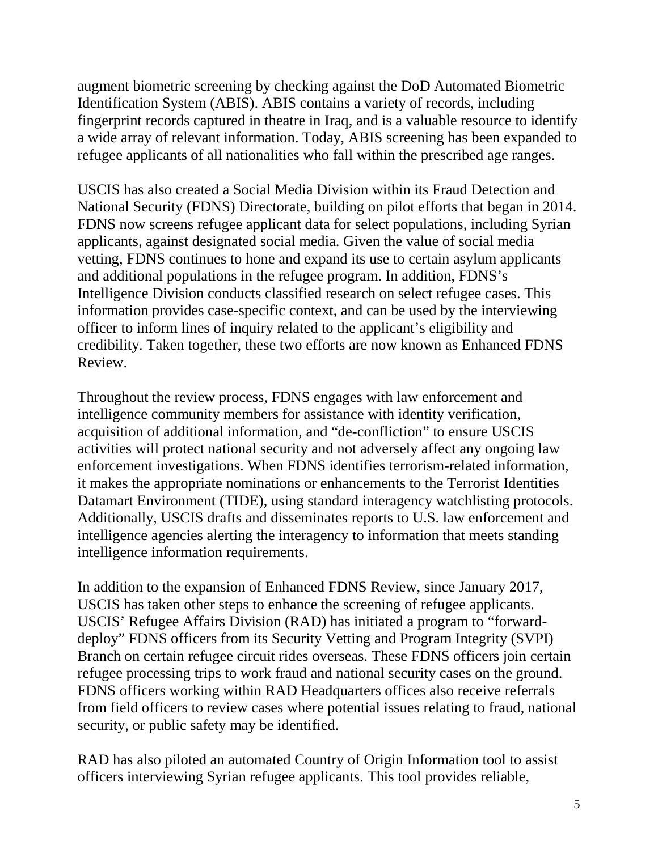augment biometric screening by checking against the DoD Automated Biometric Identification System (ABIS). ABIS contains a variety of records, including fingerprint records captured in theatre in Iraq, and is a valuable resource to identify a wide array of relevant information. Today, ABIS screening has been expanded to refugee applicants of all nationalities who fall within the prescribed age ranges.

USCIS has also created a Social Media Division within its Fraud Detection and National Security (FDNS) Directorate, building on pilot efforts that began in 2014. FDNS now screens refugee applicant data for select populations, including Syrian applicants, against designated social media. Given the value of social media vetting, FDNS continues to hone and expand its use to certain asylum applicants and additional populations in the refugee program. In addition, FDNS's Intelligence Division conducts classified research on select refugee cases. This information provides case-specific context, and can be used by the interviewing officer to inform lines of inquiry related to the applicant's eligibility and credibility. Taken together, these two efforts are now known as Enhanced FDNS Review.

Throughout the review process, FDNS engages with law enforcement and intelligence community members for assistance with identity verification, acquisition of additional information, and "de-confliction" to ensure USCIS activities will protect national security and not adversely affect any ongoing law enforcement investigations. When FDNS identifies terrorism-related information, it makes the appropriate nominations or enhancements to the Terrorist Identities Datamart Environment (TIDE), using standard interagency watchlisting protocols. Additionally, USCIS drafts and disseminates reports to U.S. law enforcement and intelligence agencies alerting the interagency to information that meets standing intelligence information requirements.

In addition to the expansion of Enhanced FDNS Review, since January 2017, USCIS has taken other steps to enhance the screening of refugee applicants. USCIS' Refugee Affairs Division (RAD) has initiated a program to "forwarddeploy" FDNS officers from its Security Vetting and Program Integrity (SVPI) Branch on certain refugee circuit rides overseas. These FDNS officers join certain refugee processing trips to work fraud and national security cases on the ground. FDNS officers working within RAD Headquarters offices also receive referrals from field officers to review cases where potential issues relating to fraud, national security, or public safety may be identified.

RAD has also piloted an automated Country of Origin Information tool to assist officers interviewing Syrian refugee applicants. This tool provides reliable,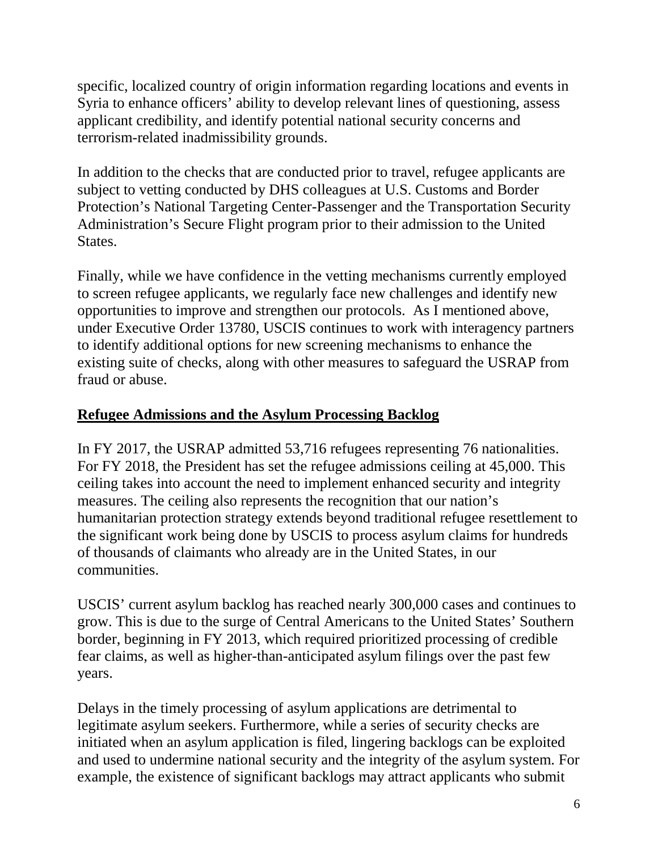specific, localized country of origin information regarding locations and events in Syria to enhance officers' ability to develop relevant lines of questioning, assess applicant credibility, and identify potential national security concerns and terrorism-related inadmissibility grounds.

In addition to the checks that are conducted prior to travel, refugee applicants are subject to vetting conducted by DHS colleagues at U.S. Customs and Border Protection's National Targeting Center-Passenger and the Transportation Security Administration's Secure Flight program prior to their admission to the United States.

Finally, while we have confidence in the vetting mechanisms currently employed to screen refugee applicants, we regularly face new challenges and identify new opportunities to improve and strengthen our protocols. As I mentioned above, under Executive Order 13780, USCIS continues to work with interagency partners to identify additional options for new screening mechanisms to enhance the existing suite of checks, along with other measures to safeguard the USRAP from fraud or abuse.

## **Refugee Admissions and the Asylum Processing Backlog**

In FY 2017, the USRAP admitted 53,716 refugees representing 76 nationalities. For FY 2018, the President has set the refugee admissions ceiling at 45,000. This ceiling takes into account the need to implement enhanced security and integrity measures. The ceiling also represents the recognition that our nation's humanitarian protection strategy extends beyond traditional refugee resettlement to the significant work being done by USCIS to process asylum claims for hundreds of thousands of claimants who already are in the United States, in our communities.

USCIS' current asylum backlog has reached nearly 300,000 cases and continues to grow. This is due to the surge of Central Americans to the United States' Southern border, beginning in FY 2013, which required prioritized processing of credible fear claims, as well as higher-than-anticipated asylum filings over the past few years.

Delays in the timely processing of asylum applications are detrimental to legitimate asylum seekers. Furthermore, while a series of security checks are initiated when an asylum application is filed, lingering backlogs can be exploited and used to undermine national security and the integrity of the asylum system. For example, the existence of significant backlogs may attract applicants who submit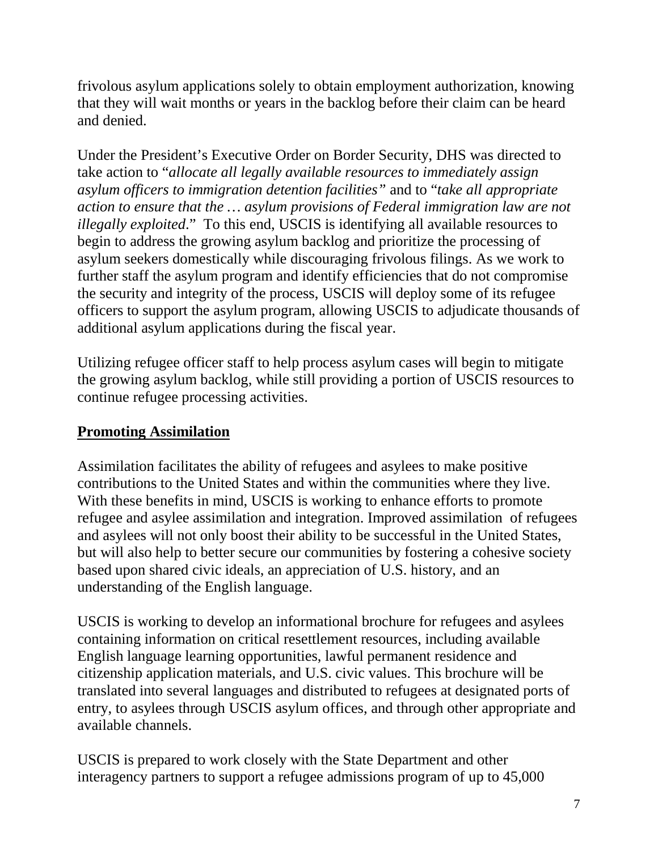frivolous asylum applications solely to obtain employment authorization, knowing that they will wait months or years in the backlog before their claim can be heard and denied.

Under the President's Executive Order on Border Security, DHS was directed to take action to "*allocate all legally available resources to immediately assign asylum officers to immigration detention facilities"* and to "*take all appropriate action to ensure that the … asylum provisions of Federal immigration law are not illegally exploited*." To this end, USCIS is identifying all available resources to begin to address the growing asylum backlog and prioritize the processing of asylum seekers domestically while discouraging frivolous filings. As we work to further staff the asylum program and identify efficiencies that do not compromise the security and integrity of the process, USCIS will deploy some of its refugee officers to support the asylum program, allowing USCIS to adjudicate thousands of additional asylum applications during the fiscal year.

Utilizing refugee officer staff to help process asylum cases will begin to mitigate the growing asylum backlog, while still providing a portion of USCIS resources to continue refugee processing activities.

# **Promoting Assimilation**

Assimilation facilitates the ability of refugees and asylees to make positive contributions to the United States and within the communities where they live. With these benefits in mind, USCIS is working to enhance efforts to promote refugee and asylee assimilation and integration. Improved assimilation of refugees and asylees will not only boost their ability to be successful in the United States, but will also help to better secure our communities by fostering a cohesive society based upon shared civic ideals, an appreciation of U.S. history, and an understanding of the English language.

USCIS is working to develop an informational brochure for refugees and asylees containing information on critical resettlement resources, including available English language learning opportunities, lawful permanent residence and citizenship application materials, and U.S. civic values. This brochure will be translated into several languages and distributed to refugees at designated ports of entry, to asylees through USCIS asylum offices, and through other appropriate and available channels.

USCIS is prepared to work closely with the State Department and other interagency partners to support a refugee admissions program of up to 45,000